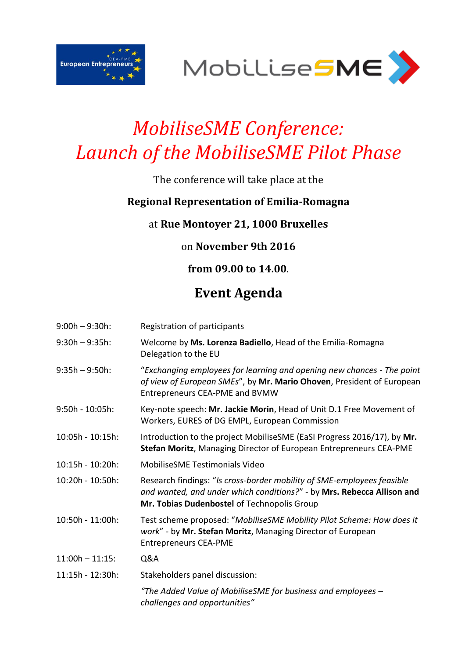



# *MobiliseSME Conference: Launch of the MobiliseSME Pilot Phase*

### The conference will take place at the

#### **Regional Representation of Emilia-Romagna**

#### at **Rue Montoyer 21, 1000 Bruxelles**

#### on **November 9th 2016**

#### **from 09.00 to 14.00**.

## **Event Agenda**

| $9:00h - 9:30h$ :  | Registration of participants                                                                                                                                                                    |
|--------------------|-------------------------------------------------------------------------------------------------------------------------------------------------------------------------------------------------|
| $9:30h - 9:35h$ :  | Welcome by Ms. Lorenza Badiello, Head of the Emilia-Romagna<br>Delegation to the EU                                                                                                             |
| $9:35h - 9:50h$ :  | "Exchanging employees for learning and opening new chances - The point<br>of view of European SMEs", by Mr. Mario Ohoven, President of European<br>Entrepreneurs CEA-PME and BVMW               |
| 9:50h - 10:05h:    | Key-note speech: Mr. Jackie Morin, Head of Unit D.1 Free Movement of<br>Workers, EURES of DG EMPL, European Commission                                                                          |
| 10:05h - 10:15h:   | Introduction to the project MobiliseSME (EaSI Progress 2016/17), by Mr.<br>Stefan Moritz, Managing Director of European Entrepreneurs CEA-PME                                                   |
| 10:15h - 10:20h:   | <b>MobiliseSME Testimonials Video</b>                                                                                                                                                           |
| 10:20h - 10:50h:   | Research findings: "Is cross-border mobility of SME-employees feasible<br>and wanted, and under which conditions?" - by Mrs. Rebecca Allison and<br>Mr. Tobias Dudenbostel of Technopolis Group |
| 10:50h - 11:00h:   | Test scheme proposed: "MobiliseSME Mobility Pilot Scheme: How does it<br>work" - by Mr. Stefan Moritz, Managing Director of European<br><b>Entrepreneurs CEA-PME</b>                            |
| $11:00h - 11:15$ : | Q&A                                                                                                                                                                                             |
| 11:15h - 12:30h:   | Stakeholders panel discussion:                                                                                                                                                                  |
|                    | "The Added Value of MobiliseSME for business and employees -<br>challenges and opportunities"                                                                                                   |